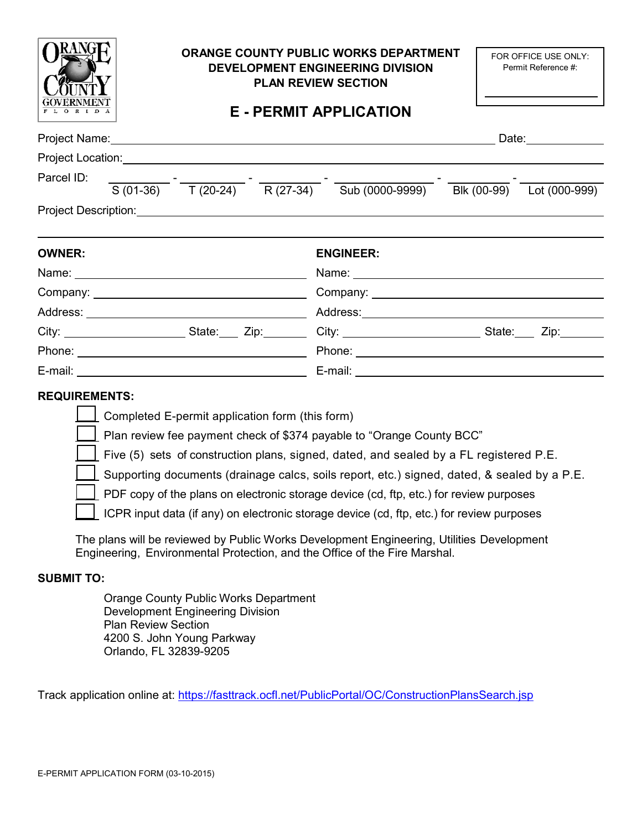|                                                                                                                                                                                                                                     | ORANGE COUNTY PUBLIC WORKS DEPARTMENT<br><b>DEVELOPMENT ENGINEERING DIVISION</b><br><b>PLAN REVIEW SECTION</b><br><b>E - PERMIT APPLICATION</b> |  |                                                                                                                                                                                                                                                                                                                                                                | FOR OFFICE USE ONLY:<br>Permit Reference #: |             |
|-------------------------------------------------------------------------------------------------------------------------------------------------------------------------------------------------------------------------------------|-------------------------------------------------------------------------------------------------------------------------------------------------|--|----------------------------------------------------------------------------------------------------------------------------------------------------------------------------------------------------------------------------------------------------------------------------------------------------------------------------------------------------------------|---------------------------------------------|-------------|
|                                                                                                                                                                                                                                     |                                                                                                                                                 |  |                                                                                                                                                                                                                                                                                                                                                                |                                             | Date: Date: |
| Project Location: New York Contract Contract Contract Contract Contract Contract Contract Contract Contract Co                                                                                                                      |                                                                                                                                                 |  |                                                                                                                                                                                                                                                                                                                                                                |                                             |             |
| Parcel ID:                                                                                                                                                                                                                          |                                                                                                                                                 |  | $\frac{1}{\sqrt{3}(01-36)} - \frac{1}{\sqrt{3}(20-24)} - \frac{1}{\sqrt{3}(27-34)} - \frac{1}{\sqrt{3}(0000-9999)} - \frac{1}{\sqrt{3}(00-9999)} - \frac{1}{\sqrt{3}(000-9999)} - \frac{1}{\sqrt{3}(000-9999)} - \frac{1}{\sqrt{3}(000-9999)} - \frac{1}{\sqrt{3}(000-9999)} - \frac{1}{\sqrt{3}(000-9999)} - \frac{1}{\sqrt{3}(000-9999)} - \frac{1}{\sqrt{3$ |                                             |             |
| Project Description: <u>Contract Description</u> Contract Description Contract Description Contract Description Contract Description Contract Description Contract Description Contract Description Contract Description Contract D |                                                                                                                                                 |  |                                                                                                                                                                                                                                                                                                                                                                |                                             |             |
| <b>OWNER:</b>                                                                                                                                                                                                                       |                                                                                                                                                 |  | <b>ENGINEER:</b>                                                                                                                                                                                                                                                                                                                                               |                                             |             |
|                                                                                                                                                                                                                                     |                                                                                                                                                 |  | Company: Company:                                                                                                                                                                                                                                                                                                                                              |                                             |             |
|                                                                                                                                                                                                                                     |                                                                                                                                                 |  |                                                                                                                                                                                                                                                                                                                                                                |                                             |             |
|                                                                                                                                                                                                                                     |                                                                                                                                                 |  |                                                                                                                                                                                                                                                                                                                                                                |                                             |             |
|                                                                                                                                                                                                                                     |                                                                                                                                                 |  |                                                                                                                                                                                                                                                                                                                                                                |                                             |             |
|                                                                                                                                                                                                                                     |                                                                                                                                                 |  |                                                                                                                                                                                                                                                                                                                                                                |                                             |             |
| <b>REQUIREMENTS:</b>                                                                                                                                                                                                                | Completed E-permit application form (this form)                                                                                                 |  | Plan review fee payment check of \$374 payable to "Orange County BCC"<br>Five (5) sets of construction plans, signed, dated, and sealed by a FL registered P.E.<br>Supporting documents (drainage calcs, soils report, etc.) signed, dated, & sealed by a P.E.                                                                                                 |                                             |             |

PDF copy of the plans on electronic storage device (cd, ftp, etc.) for review purposes

ICPR input data (if any) on electronic storage device (cd, ftp, etc.) for review purposes

 The plans will be reviewed by Public Works Development Engineering, Utilities Development Engineering, Environmental Protection, and the Office of the Fire Marshal.

## **SUBMIT TO:**

L L

> Orange County Public Works Department Development Engineering Division Plan Review Section 4200 S. John Young Parkway Orlando, FL 32839-9205

Track application online at: <u>https://fasttrack.ocfl.net/PublicPortal/OC/ConstructionPlansSearch.jsp</u>